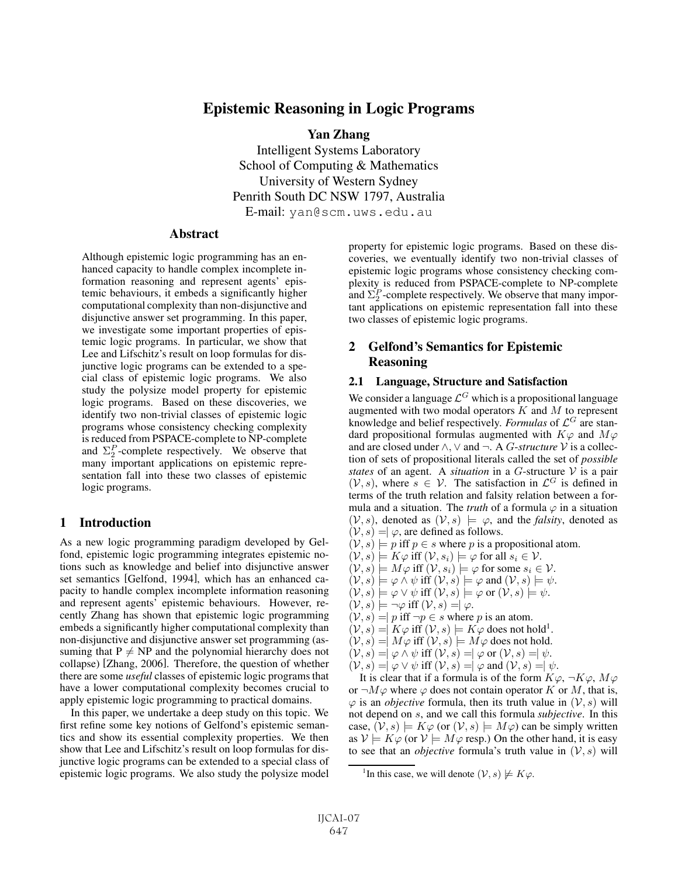# Epistemic Reasoning in Logic Programs

Yan Zhang Intelligent Systems Laboratory School of Computing & Mathematics University of Western Sydney Penrith South DC NSW 1797, Australia E-mail: yan@scm.uws.edu.au

### Abstract

Although epistemic logic programming has an enhanced capacity to handle complex incomplete information reasoning and represent agents' epistemic behaviours, it embeds a significantly higher computational complexity than non-disjunctive and disjunctive answer set programming. In this paper, we investigate some important properties of epistemic logic programs. In particular, we show that Lee and Lifschitz's result on loop formulas for disjunctive logic programs can be extended to a special class of epistemic logic programs. We also study the polysize model property for epistemic logic programs. Based on these discoveries, we identify two non-trivial classes of epistemic logic programs whose consistency checking complexity is reduced from PSPACE-complete to NP-complete and  $\Sigma_2^P$ -complete respectively. We observe that many important applications on epistemic representation fall into these two classes of epistemic logic programs.

### 1 Introduction

As a new logic programming paradigm developed by Gelfond, epistemic logic programming integrates epistemic notions such as knowledge and belief into disjunctive answer set semantics [Gelfond, 1994], which has an enhanced capacity to handle complex incomplete information reasoning and represent agents' epistemic behaviours. However, recently Zhang has shown that epistemic logic programming embeds a significantly higher computational complexity than non-disjunctive and disjunctive answer set programming (assuming that  $P \neq NP$  and the polynomial hierarchy does not collapse) [Zhang, 2006]. Therefore, the question of whether there are some *useful* classes of epistemic logic programs that have a lower computational complexity becomes crucial to apply epistemic logic programming to practical domains.

In this paper, we undertake a deep study on this topic. We first refine some key notions of Gelfond's epistemic semantics and show its essential complexity properties. We then show that Lee and Lifschitz's result on loop formulas for disjunctive logic programs can be extended to a special class of epistemic logic programs. We also study the polysize model property for epistemic logic programs. Based on these discoveries, we eventually identify two non-trivial classes of epistemic logic programs whose consistency checking complexity is reduced from PSPACE-complete to NP-complete and  $\Sigma_2^P$ -complete respectively. We observe that many important applications on epistemic representation fall into these two classes of epistemic logic programs.

## 2 Gelfond's Semantics for Epistemic Reasoning

### 2.1 Language, Structure and Satisfaction

We consider a language  $\mathcal{L}^G$  which is a propositional language augmented with two modal operators  $K$  and  $M$  to represent knowledge and belief respectively. *Formulas* of  $\mathcal{L}^G$  are standard propositional formulas augmented with  $K\varphi$  and  $M\varphi$ and are closed under  $\land$ ,  $\lor$  and  $\neg$ . A *G-structure*  $\mathcal V$  is a collection of sets of propositional literals called the set of *possible states* of an agent. A *situation* in a G-structure V is a pair  $(V, s)$ , where  $s \in V$ . The satisfaction in  $\mathcal{L}^G$  is defined in terms of the truth relation and falsity relation between a formula and a situation. The *truth* of a formula  $\varphi$  in a situation  $(V, s)$ , denoted as  $(V, s) \models \varphi$ , and the *falsity*, denoted as  $(V, s) = \varphi$ , are defined as follows.

- $(V, s) \models p$  iff  $p \in s$  where p is a propositional atom.
- $(\mathcal{V}, s) \models K\varphi \text{ iff } (\mathcal{V}, s_i) \models \varphi \text{ for all } s_i \in \mathcal{V}.$
- $(\mathcal{V}, s) \models M\varphi$  iff  $(\mathcal{V}, s_i) \models \varphi$  for some  $s_i \in \mathcal{V}$ .
- $(\mathcal{V}, s) \models \varphi \land \psi$  iff  $(\mathcal{V}, s) \models \varphi$  and  $(\mathcal{V}, s) \models \psi$ .
- $(\mathcal{V}, s) \models \varphi \lor \psi$  iff  $(\mathcal{V}, s) \models \varphi$  or  $(\mathcal{V}, s) \models \psi$ .
- $(\mathcal{V}, s) \models \neg \varphi$  iff  $(\mathcal{V}, s) = \varphi$ .
- $(V, s) = p$  iff  $\neg p \in s$  where p is an atom.
- $(\mathcal{V}, s) = K\varphi$  iff  $(\mathcal{V}, s) \models K\varphi$  does not hold<sup>1</sup>.
- $(V, s) = M\varphi$  iff  $(V, s) \models M\varphi$  does not hold.
- $(V, s) = |\varphi \wedge \psi| \text{ iff } (V, s) = |\varphi \text{ or } (V, s) = | \psi|.$
- $(V, s) = |\varphi \vee \psi| \text{ iff } (\mathcal{V}, s) = |\varphi| \text{ and } (\mathcal{V}, s) = |\psi|.$

It is clear that if a formula is of the form  $K\varphi, \neg K\varphi, M\varphi$ or  $\neg M\varphi$  where  $\varphi$  does not contain operator K or M, that is,  $\varphi$  is an *objective* formula, then its truth value in  $(\mathcal{V}, s)$  will not depend on s, and we call this formula *subjective*. In this case,  $(\mathcal{V}, s) \models K\varphi$  (or  $(\mathcal{V}, s) \models M\varphi$ ) can be simply written as  $\mathcal{V} \models K\varphi$  (or  $\mathcal{V} \models M\varphi$  resp.) On the other hand, it is easy to see that an *objective* formula's truth value in  $(V, s)$  will

<sup>&</sup>lt;sup>1</sup>In this case, we will denote  $(\mathcal{V}, s) \not\models K\varphi$ .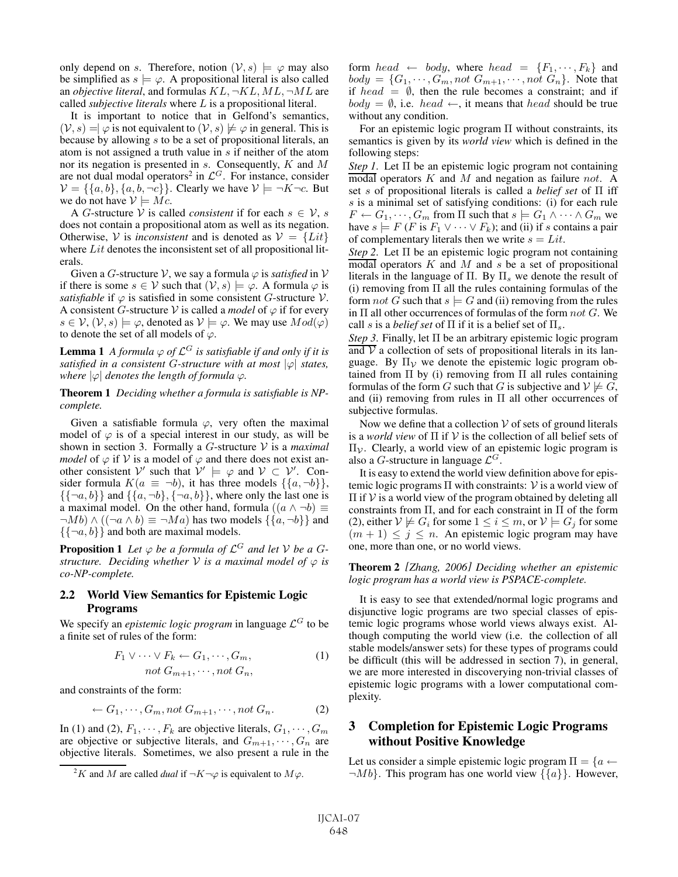only depend on s. Therefore, notion  $(\mathcal{V}, s) \models \varphi$  may also be simplified as  $s \models \varphi$ . A propositional literal is also called an *objective literal*, and formulas  $KL$ ,  $\neg KL$ ,  $ML$ ,  $\neg ML$  are called *subjective literals* where L is a propositional literal.

It is important to notice that in Gelfond's semantics,  $(V, s) = \n\varphi$  is not equivalent to  $(V, s) \not\models \varphi$  in general. This is because by allowing s to be a set of propositional literals, an atom is not assigned a truth value in s if neither of the atom nor its negation is presented in s. Consequently, K and M are not dual modal operators<sup>2</sup> in  $\mathcal{L}^G$ . For instance, consider  $V = \{\{a, b\}, \{a, b, \neg c\}\}\$ . Clearly we have  $V \models \neg K \neg c$ . But we do not have  $V \models Mc$ .

A G-structure V is called *consistent* if for each  $s \in V$ , s does not contain a propositional atom as well as its negation. Otherwise, V is *inconsistent* and is denoted as  $V = \{Lit\}$ where Lit denotes the inconsistent set of all propositional literals.

Given a G-structure V, we say a formula  $\varphi$  is *satisfied* in V if there is some  $s \in V$  such that  $(V, s) \models \varphi$ . A formula  $\varphi$  is *satisfiable* if  $\varphi$  is satisfied in some consistent G-structure V. A consistent G-structure V is called a *model* of  $\varphi$  if for every  $s \in \mathcal{V}, (\mathcal{V}, s) \models \varphi$ , denoted as  $\mathcal{V} \models \varphi$ . We may use  $Mod(\varphi)$ to denote the set of all models of  $\varphi$ .

**Lemma 1** *A formula*  $\varphi$  *of*  $\mathcal{L}^G$  *is satisfiable if and only if it is satisfied in a consistent G-structure with at most*  $|\varphi|$  *states, where*  $|\varphi|$  *denotes the length of formula*  $\varphi$ *.* 

Theorem 1 *Deciding whether a formula is satisfiable is NPcomplete.*

Given a satisfiable formula  $\varphi$ , very often the maximal model of  $\varphi$  is of a special interest in our study, as will be shown in section 3. Formally a G-structure V is a *maximal model* of  $\varphi$  if  $V$  is a model of  $\varphi$  and there does not exist another consistent  $\mathcal{V}'$  such that  $\mathcal{V}' \models \varphi$  and  $\mathcal{V} \subset \mathcal{V}'$ . Consider formula  $K(a \equiv \neg b)$ , it has three models  $\{\{a, \neg b\}\},\$  $\{\{\neg a, b\}\}\$  and  $\{\{a, \neg b\}, \{\neg a, b\}\}\$ , where only the last one is a maximal model. On the other hand, formula  $((a \wedge \neg b) \equiv$  $\neg Mb) \wedge ((\neg a \wedge b) \equiv \neg Ma)$  has two models  $\{\{a, \neg b\}\}\$ and  $\{\{\neg a, b\}\}\$ and both are maximal models.

**Proposition 1** Let  $\varphi$  be a formula of  $\mathcal{L}^G$  and let V be a G*structure.* Deciding whether  $V$  *is a maximal model of*  $\varphi$  *is co-NP-complete.*

### 2.2 World View Semantics for Epistemic Logic Programs

We specify an *epistemic logic program* in language  $\mathcal{L}^G$  to be a finite set of rules of the form:

$$
F_1 \vee \cdots \vee F_k \leftarrow G_1, \cdots, G_m,
$$
  
\n
$$
not G_{m+1}, \cdots, not G_n,
$$
\n(1)

and constraints of the form:

$$
\leftarrow G_1, \cdots, G_m, not G_{m+1}, \cdots, not G_n. \tag{2}
$$

In (1) and (2),  $F_1, \dots, F_k$  are objective literals,  $G_1, \dots, G_m$ are objective or subjective literals, and  $G_{m+1}, \cdots, G_n$  are objective literals. Sometimes, we also present a rule in the form head  $\leftarrow$  body, where head  $= \{F_1, \dots, F_k\}$  and  $body = \{G_1, \dots, G_m, not G_{m+1}, \dots, not G_n\}.$  Note that if head  $= \emptyset$ , then the rule becomes a constraint; and if  $body = \emptyset$ , i.e.  $head \leftarrow$ , it means that  $head$  should be true without any condition.

For an epistemic logic program Π without constraints, its semantics is given by its *world view* which is defined in the following steps:

*Step 1*. Let Π be an epistemic logic program not containing  $\overline{\text{modal}}$  operators K and M and negation as failure not. A set s of propositional literals is called a *belief set* of Π iff s is a minimal set of satisfying conditions: (i) for each rule  $F \leftarrow G_1, \cdots, G_m$  from  $\Pi$  such that  $s \models G_1 \land \cdots \land G_m$  we have  $s \models F$  (*F* is  $F_1 \lor \cdots \lor F_k$ ); and (ii) if s contains a pair of complementary literals then we write  $s = Lit$ .

*Step 2*. Let Π be an epistemic logic program not containing modal operators  $K$  and  $M$  and  $s$  be a set of propositional literals in the language of  $\Pi$ . By  $\Pi_s$  we denote the result of (i) removing from  $\Pi$  all the rules containing formulas of the form not G such that  $s \models G$  and (ii) removing from the rules in  $\Pi$  all other occurrences of formulas of the form not G. We call s is a *belief set* of  $\Pi$  if it is a belief set of  $\Pi_s$ .

*Step 3*. Finally, let Π be an arbitrary epistemic logic program and  $\overline{V}$  a collection of sets of propositional literals in its language. By  $\Pi_{\mathcal{V}}$  we denote the epistemic logic program obtained from  $\Pi$  by (i) removing from  $\Pi$  all rules containing formulas of the form G such that G is subjective and  $V \not\models G$ , and (ii) removing from rules in  $\Pi$  all other occurrences of subjective formulas.

Now we define that a collection  $V$  of sets of ground literals is a *world view* of Π if V is the collection of all belief sets of  $\Pi$ <sub>ν</sub>. Clearly, a world view of an epistemic logic program is also a G-structure in language  $\mathcal{L}^G$ .

It is easy to extend the world view definition above for epistemic logic programs  $\Pi$  with constraints:  $V$  is a world view of  $\Pi$  if  $\mathcal V$  is a world view of the program obtained by deleting all constraints from Π, and for each constraint in Π of the form (2), either  $V \not\models G_i$  for some  $1 \leq i \leq m$ , or  $V \models G_j$  for some  $(m + 1) \leq j \leq n$ . An epistemic logic program may have one, more than one, or no world views.

Theorem 2 *[Zhang, 2006] Deciding whether an epistemic logic program has a world view is PSPACE-complete.*

It is easy to see that extended/normal logic programs and disjunctive logic programs are two special classes of epistemic logic programs whose world views always exist. Although computing the world view (i.e. the collection of all stable models/answer sets) for these types of programs could be difficult (this will be addressed in section 7), in general, we are more interested in discoverying non-trivial classes of epistemic logic programs with a lower computational complexity.

## 3 Completion for Epistemic Logic Programs without Positive Knowledge

Let us consider a simple epistemic logic program  $\Pi = \{a \leftarrow$  $\neg Mb$ . This program has one world view  $\{\{a\}\}\$ . However,

<sup>&</sup>lt;sup>2</sup>K and M are called *dual* if  $\neg K \neg \varphi$  is equivalent to  $M\varphi$ .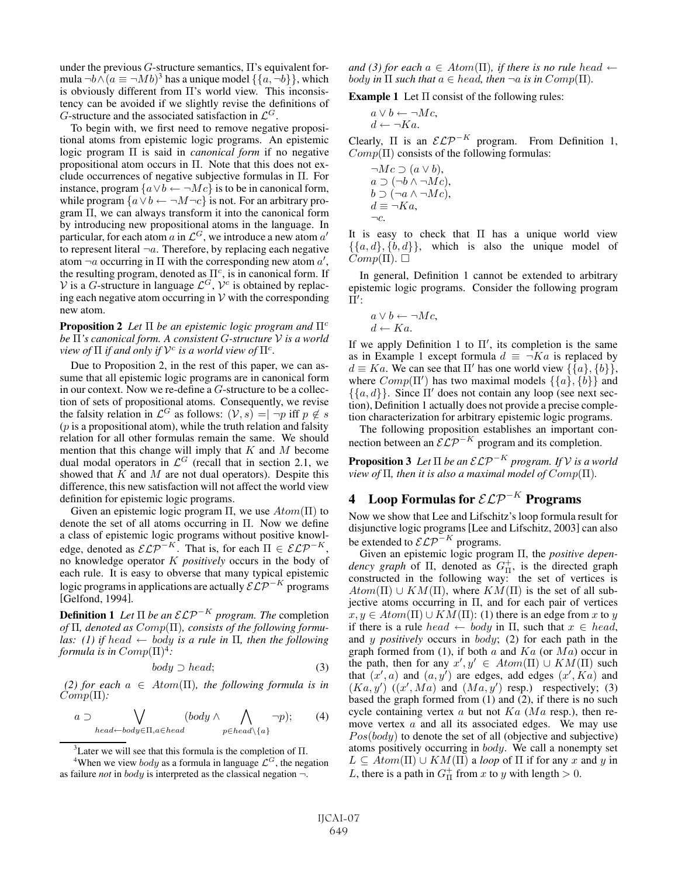under the previous  $G$ -structure semantics,  $\Pi$ 's equivalent formula  $\neg b \wedge (a \equiv \neg Mb)^3$  has a unique model  $\{\{a, \neg b\}\}\$ , which is obviously different from Π's world view. This inconsistency can be avoided if we slightly revise the definitions of G-structure and the associated satisfaction in  $\mathcal{L}^G$ .

To begin with, we first need to remove negative propositional atoms from epistemic logic programs. An epistemic logic program Π is said in *canonical form* if no negative propositional atom occurs in Π. Note that this does not exclude occurrences of negative subjective formulas in Π. For instance, program  $\{a \lor b \leftarrow \neg Mc\}$  is to be in canonical form, while program  $\{a \lor b \leftarrow \neg M \neg c\}$  is not. For an arbitrary program Π, we can always transform it into the canonical form by introducing new propositional atoms in the language. In particular, for each atom a in  $\mathcal{L}^G$ , we introduce a new atom a' to represent literal  $\neg a$ . Therefore, by replacing each negative atom  $\neg a$  occurring in  $\Pi$  with the corresponding new atom  $a'$ , the resulting program, denoted as  $\Pi^c$ , is in canonical form. If V is a G-structure in language  $\mathcal{L}^G$ ,  $\mathcal{V}^c$  is obtained by replacing each negative atom occurring in  $V$  with the corresponding new atom.

**Proposition 2** *Let* Π *be an epistemic logic program and*  $\Pi^c$ *be* Π*'s canonical form. A consistent* G*-structure* V *is a world view of*  $\Pi$  *if and only if*  $V^c$  *is a world view of*  $\Pi^c$ *.* 

Due to Proposition 2, in the rest of this paper, we can assume that all epistemic logic programs are in canonical form in our context. Now we re-define a G-structure to be a collection of sets of propositional atoms. Consequently, we revise the falsity relation in  $\mathcal{L}^G$  as follows:  $(\mathcal{V}, s) = \overline{-p}$  iff  $p \notin s$  $(p)$  is a propositional atom), while the truth relation and falsity relation for all other formulas remain the same. We should mention that this change will imply that  $K$  and  $M$  become dual modal operators in  $\mathcal{L}^G$  (recall that in section 2.1, we showed that  $K$  and  $M$  are not dual operators). Despite this difference, this new satisfaction will not affect the world view definition for epistemic logic programs.

Given an epistemic logic program  $\Pi$ , we use  $Atom(\Pi)$  to denote the set of all atoms occurring in Π. Now we define a class of epistemic logic programs without positive knowledge, denoted as  $\mathcal{ELP}^{-K}$ . That is, for each  $\Pi \in \mathcal{ELP}^{-K}$ , no knowledge operator K *positively* occurs in the body of each rule. It is easy to obverse that many typical epistemic logic programs in applications are actually  $\mathcal{ELP}^{-K}$  programs [Gelfond, 1994].

**Definition 1** Let  $\Pi$  be an  $\mathcal{ELP}^{-K}$  program. The completion *of* Π*, denoted as* Comp(Π)*, consists of the following formulas:* (1) if head  $\leftarrow$  body is a rule in  $\Pi$ , then the following *formula is in*  $Comp(\Pi)^4$ :

$$
body \supset head; \tag{3}
$$

*(2) for each*  $a \in Atom(\Pi)$ *, the following formula is in* Comp(Π)*:*

$$
a \supset \bigvee_{head \leftarrow body \in \Pi, a \in head} (body \wedge \bigwedge_{p \in head \setminus \{a\}} \neg p); \qquad (4)
$$

<sup>3</sup> Later we will see that this formula is the completion of  $\Pi$ .

*and (3) for each*  $a \in Atom(\Pi)$ *, if there is no rule head*  $\leftarrow$ *body* in  $\Pi$  *such that*  $a \in head$ *, then*  $\neg a$  *is in*  $Comp(\Pi)$ *.* 

**Example 1** Let  $\Pi$  consist of the following rules:

$$
a \lor b \leftarrow \neg Mc, d \leftarrow \neg Ka.
$$

Clearly,  $\Pi$  is an  $\mathcal{ELP}^{-K}$  program. From Definition 1,  $Comp(\Pi)$  consists of the following formulas:

$$
\neg Mc \supset (a \lor b),a \supset (\neg b \land \neg Mc),b \supset (\neg a \land \neg Mc),d \equiv \neg Ka,
$$
  

$$
\neg c.
$$

It is easy to check that  $\Pi$  has a unique world view  $\{\{a, d\}, \{b, d\}\}\$ , which is also the unique model of  $\widetilde{Comp}(\Pi)$ .  $\Box$ 

In general, Definition 1 cannot be extended to arbitrary epistemic logic programs. Consider the following program  $\bar{\Pi'}$ :

$$
a \lor b \leftarrow \neg Mc, d \leftarrow Ka.
$$

If we apply Definition 1 to  $\Pi'$ , its completion is the same as in Example 1 except formula  $d \equiv \neg Ka$  is replaced by  $d \equiv Ka$ . We can see that  $\Pi'$  has one world view  $\{\{a\}, \{b\}\},$ where  $Comp(\Pi')$  has two maximal models  $\{\{a\}, \{b\}\}\$ and  $\{\{a, d\}\}\.$  Since  $\Pi'$  does not contain any loop (see next section), Definition 1 actually does not provide a precise completion characterization for arbitrary epistemic logic programs.

The following proposition establishes an important connection between an  $\mathcal{ELP}^{-K}$  program and its completion.

**Proposition 3** Let  $\Pi$  be an  $\mathcal{ELP}^{-K}$  program. If  $V$  is a world *view of*  $\Pi$ *, then it is also a maximal model of*  $Comp(\Pi)$ *.* 

# 4 Loop Formulas for  $\mathcal{ELP}^{-K}$  Programs

Now we show that Lee and Lifschitz's loop formula result for disjunctive logic programs [Lee and Lifschitz, 2003] can also be extended to  $\mathcal{ELP}^{-K}$  programs.

Given an epistemic logic program Π, the *positive depen*dency graph of  $\Pi$ , denoted as  $G_{\Pi}^{+}$ , is the directed graph constructed in the following way: the set of vertices is  $Atom(\Pi) \cup KM(\Pi)$ , where  $KM(\Pi)$  is the set of all subjective atoms occurring in  $\Pi$ , and for each pair of vertices  $x, y \in Atom(\Pi) \cup KM(\Pi)$ : (1) there is an edge from x to y if there is a rule head  $\leftarrow$  body in  $\Pi$ , such that  $x \in head$ , and y *positively* occurs in body; (2) for each path in the graph formed from (1), if both  $a$  and  $Ka$  (or  $Ma$ ) occur in the path, then for any  $x', y' \in Atom(\Pi) \cup KM(\Pi)$  such that  $(x', a)$  and  $(a, y')$  are edges, add edges  $(x', K a)$  and  $(Ka, y')$   $((x', Ma)$  and  $(Ma, y')$  resp.) respectively; (3) based the graph formed from (1) and (2), if there is no such cycle containing vertex  $a$  but not  $Ka$  ( $Ma$  resp.), then remove vertex a and all its associated edges. We may use  $Pos(body)$  to denote the set of all (objective and subjective) atoms positively occurring in body. We call a nonempty set  $L \subseteq Atom(\Pi) \cup KM(\Pi)$  a *loop* of  $\Pi$  if for any x and y in L, there is a path in  $G_{\Pi}^+$  from x to y with length  $> 0$ .

<sup>&</sup>lt;sup>4</sup>When we view *body* as a formula in language  $\mathcal{L}^G$ , the negation as failure *not* in body is interpreted as the classical negation ¬.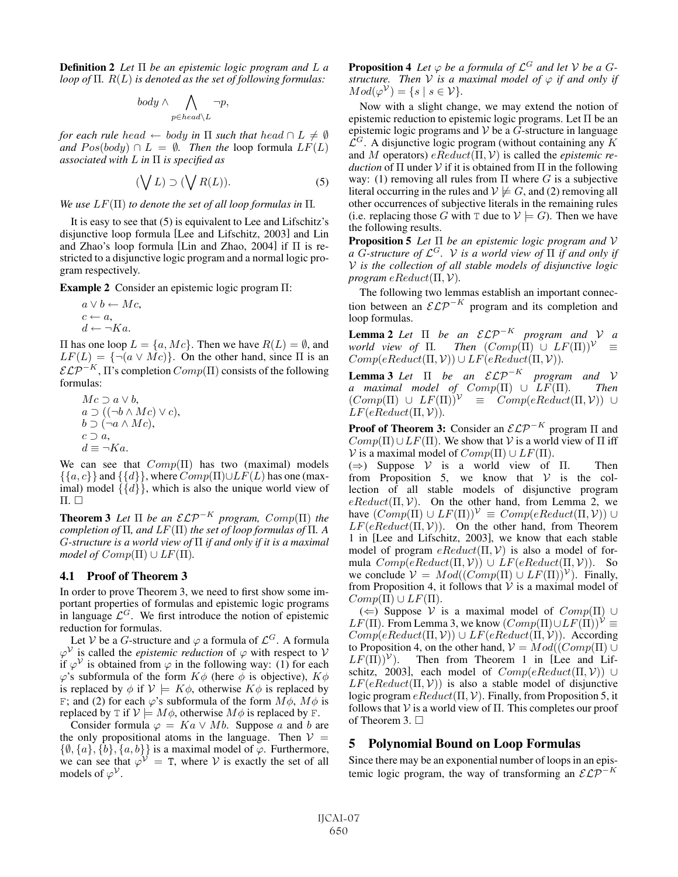Definition 2 *Let* Π *be an epistemic logic program and* L *a loop of* Π*.* R(L) *is denoted as the set of following formulas:*

$$
body \wedge \bigwedge_{p \in head \setminus L} \neg p,
$$

*for each rule head*  $\leftarrow$  *body in*  $\Pi$  *such that head*  $\cap$   $L \neq \emptyset$ *and*  $Pos(body) \cap L = \emptyset$ . *Then the* loop formula  $LF(L)$ *associated with* L *in* Π *is specified as*

$$
(\bigvee L) \supset (\bigvee R(L)). \tag{5}
$$

*We use*  $LF(\Pi)$  *to denote the set of all loop formulas in*  $\Pi$ *.* 

It is easy to see that (5) is equivalent to Lee and Lifschitz's disjunctive loop formula [Lee and Lifschitz, 2003] and Lin and Zhao's loop formula [Lin and Zhao, 2004] if Π is restricted to a disjunctive logic program and a normal logic program respectively.

Example 2 Consider an epistemic logic program Π:

$$
a \lor b \leftarrow Mc, \nc \leftarrow a, \nd \leftarrow \neg Ka.
$$

II has one loop  $L = \{a, Mc\}$ . Then we have  $R(L) = ∅$ , and  $LF(L) = {\neg(\alpha \lor Mc)}$ . On the other hand, since  $\Pi$  is an  $\mathcal{ELP}^{-K}$ ,  $\Pi$ 's completion  $Comp(\Pi)$  consists of the following formulas:

 $Mc \supset a \vee b$ ,  $a \supset ((\neg b \wedge Mc) \vee c),$  $b \supset (\neg a \wedge Mc)$ ,  $c \supset a$ ,  $d \equiv \neg Ka.$ 

We can see that  $Comp(\Pi)$  has two (maximal) models  $\{\{a, c\}\}\$ and  $\{\{d\}\}\$ , where  $Comp(\Pi)\cup LF(L)$  has one (maximal) model  $\{\{d\}\}\$ , which is also the unique world view of  $\Pi$ .  $\Box$ 

**Theorem 3** Let  $\Pi$  be an  $\mathcal{ELP}^{-K}$  program,  $Comp(\Pi)$  the *completion of* Π*, and* LF(Π) *the set of loop formulas of* Π*. A* G*-structure is a world view of* Π *if and only if it is a maximal model of*  $Comp(\Pi) \cup LF(\Pi)$ *.* 

### 4.1 Proof of Theorem 3

In order to prove Theorem 3, we need to first show some important properties of formulas and epistemic logic programs in language  $\mathcal{L}^G$ . We first introduce the notion of epistemic reduction for formulas.

Let V be a G-structure and  $\varphi$  a formula of  $\mathcal{L}^G$ . A formula  $\varphi^{\mathcal{V}}$  is called the *epistemic reduction* of  $\varphi$  with respect to  $\mathcal{V}$ if  $\varphi^{\mathcal{V}}$  is obtained from  $\varphi$  in the following way: (1) for each  $\varphi$ 's subformula of the form  $K\phi$  (here  $\bar{\phi}$  is objective),  $K\phi$ is replaced by  $\phi$  if  $V \models K\phi$ , otherwise  $K\phi$  is replaced by F; and (2) for each  $\varphi$ 's subformula of the form  $M\phi$ ,  $M\phi$  is replaced by T if  $V \models M\phi$ , otherwise  $M\phi$  is replaced by F.

Consider formula  $\varphi = Ka \vee Mb$ . Suppose a and b are the only propositional atoms in the language. Then  $V =$  $\{\emptyset, \{a\}, \{b\}, \{a, b\}\}\$ is a maximal model of  $\varphi$ . Furthermore, we can see that  $\varphi^{\mathcal{V}} = T$ , where V is exactly the set of all models of  $\varphi^{\mathcal{V}}$ .

**Proposition 4** Let  $\varphi$  be a formula of  $\mathcal{L}^G$  and let V be a G*structure.* Then  $V$  *is a maximal model of*  $\varphi$  *if and only if*  $Mod(\varphi^{\mathcal{V}}) = \{s \mid s \in \mathcal{V}\}.$ 

Now with a slight change, we may extend the notion of epistemic reduction to epistemic logic programs. Let  $\Pi$  be an epistemic logic programs and  $V$  be a  $G$ -structure in language  $\mathcal{L}^G$ . A disjunctive logic program (without containing any K and M operators) eReduct(Π, V) is called the *epistemic reduction* of  $\Pi$  under  $V$  if it is obtained from  $\Pi$  in the following way: (1) removing all rules from  $\Pi$  where G is a subjective literal occurring in the rules and  $\mathcal{V} \not\models G$ , and (2) removing all other occurrences of subjective literals in the remaining rules (i.e. replacing those G with T due to  $\mathcal{V} \models G$ ). Then we have the following results.

Proposition 5 *Let* Π *be an epistemic logic program and* V *a* G-structure of  $\mathcal{L}^G$ . *V is a world view of*  $\Pi$  *if and only if* V *is the collection of all stable models of disjunctive logic program*  $eReduct(\Pi, V)$ .

The following two lemmas establish an important connection between an  $\mathcal{ELP}^{-K}$  program and its completion and loop formulas.

**Lemma 2** *Let*  $\Pi$  *be an*  $\mathcal{ELP}^{-K}$  *program and*  $V$  *a world view of*  $\Pi$ . *Then*  $(Comp(\Pi) \cup LF(\Pi))^{\mathcal{V}} \equiv$  $Comp(eReduct(\Pi, V)) \cup LF(eReduct(\Pi, V)).$ 

**Lemma 3** *Let*  $\Pi$  *be an*  $\mathcal{ELP}^{-K}$  *program and*  $V$ *a maximal model of* Comp(Π) ∪ LF(Π)*. Then*  $(Comp(\Pi) \cup LF(\Pi))^{\gamma} \equiv \hat{Comp}(eReduct(\Pi, \mathcal{V})) \cup$  $LF(eReduct(\Pi, V))$ .

**Proof of Theorem 3:** Consider an  $\mathcal{ELP}^{-K}$  program  $\Pi$  and  $Comp(\Pi) \cup LF(\Pi)$ . We show that V is a world view of  $\Pi$  iff V is a maximal model of  $Comp(\Pi) \cup LF(\Pi)$ .

 $(\Rightarrow)$  Suppose V is a world view of Π. Then from Proposition 5, we know that  $V$  is the collection of all stable models of disjunctive program  $eReduct(\Pi, V)$ . On the other hand, from Lemma 2, we have  $(Comp(\Pi) \cup LF(\Pi))^{\mathcal{V}} \equiv Comp(eReduct(\Pi, \mathcal{V})) \cup$  $LF(eReduct(\Pi, V))$ . On the other hand, from Theorem 1 in [Lee and Lifschitz, 2003], we know that each stable model of program  $eReduct(\Pi, V)$  is also a model of formula  $Comp(eReduct(\Pi, V)) \cup LF(eReduct(\Pi, V))$ . So we conclude  $V = Mod((Comp(\Pi) \cup LF(\Pi))^{\mathcal{V}})$ . Finally, from Proposition 4, it follows that  $V$  is a maximal model of  $Comp(\Pi) \cup LF(\Pi).$ 

( $\Leftarrow$ ) Suppose V is a maximal model of Comp(Π) ∪  $LF(\Pi)$ . From Lemma 3, we know  $(Comp(\Pi) \cup LF(\Pi))^{\mathcal{V}} \equiv$  $Comp(eReduct(\Pi, V)) \cup LF(eReduct(\Pi, V))$ . According to Proposition 4, on the other hand,  $V = Mod((Comp(\Pi) \cup$  $LF(\hat{\Pi})^{\mathcal{V}}$ ). Then from Theorem 1 in [Lee and Lifschitz, 2003], each model of  $Comp(eReduct(\Pi, V)) \cup$  $LF(eReduct(\Pi, V))$  is also a stable model of disjunctive logic program  $eReduct(\Pi, V)$ . Finally, from Proposition 5, it follows that V is a world view of  $\Pi$ . This completes our proof of Theorem 3.  $\Box$ 

### 5 Polynomial Bound on Loop Formulas

Since there may be an exponential number of loops in an epistemic logic program, the way of transforming an  $\mathcal{ELP}^{-K}$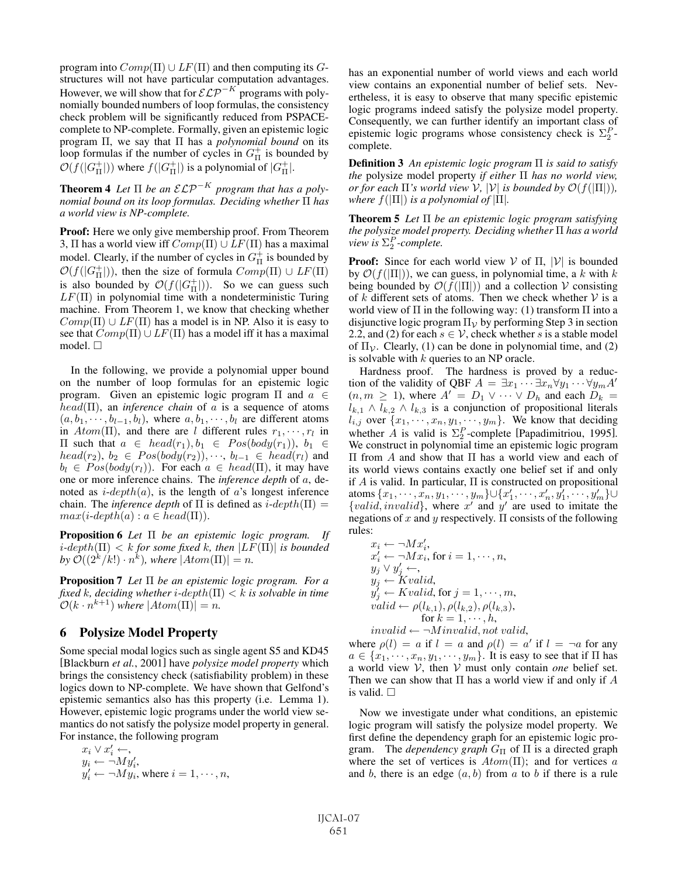program into  $Comp(\Pi) \cup LF(\Pi)$  and then computing its Gstructures will not have particular computation advantages. However, we will show that for  $\mathcal{ELP}^{-K}$  programs with polynomially bounded numbers of loop formulas, the consistency check problem will be significantly reduced from PSPACEcomplete to NP-complete. Formally, given an epistemic logic program Π, we say that Π has a *polynomial bound* on its loop formulas if the number of cycles in  $G_{\Pi}^{+}$  is bounded by  $\mathcal{O}(f(|G_{\Pi}^+|))$  where  $f(|G_{\Pi}^+|)$  is a polynomial of  $|G_{\Pi}^+|$ .

**Theorem 4** Let  $\Pi$  be an  $\mathcal{ELP}^{-K}$  program that has a poly*nomial bound on its loop formulas. Deciding whether* Π *has a world view is NP-complete.*

**Proof:** Here we only give membership proof. From Theorem 3,  $\Pi$  has a world view iff  $Comp(\Pi) \cup LF(\Pi)$  has a maximal model. Clearly, if the number of cycles in  $G_{\Pi}^{+}$  is bounded by  $\mathcal{O}(f(|G_{\Pi}^+|))$ , then the size of formula  $Comp(\Pi) \cup LF(\Pi)$ is also bounded by  $\mathcal{O}(f(|G_{\Pi}^+|))$ . So we can guess such  $LF(\Pi)$  in polynomial time with a nondeterministic Turing machine. From Theorem 1, we know that checking whether  $Comp(\Pi) \cup LF(\Pi)$  has a model is in NP. Also it is easy to see that  $Comp(\Pi) \cup LF(\Pi)$  has a model iff it has a maximal model.  $\square$ 

In the following, we provide a polynomial upper bound on the number of loop formulas for an epistemic logic program. Given an epistemic logic program Π and  $a \in$ head(Π), an *inference chain* of a is a sequence of atoms  $(a, b_1, \dots, b_{l-1}, b_l)$ , where  $a, b_1, \dots, b_l$  are different atoms in  $Atom(\Pi)$ , and there are l different rules  $r_1, \dots, r_l$  in  $\Pi$  such that  $a \in head(r_1), b_1 \in Pos(body(r_1)), b_1 \in$  $head(r_2), b_2 \in Pos(body(r_2)), \dots, b_{l-1} \in head(r_l)$  and  $b_l \in Pos(body(r_l))$ . For each  $a \in head(\Pi)$ , it may have one or more inference chains. The *inference depth* of a, denoted as  $i\text{-}depth(a)$ , is the length of a's longest inference chain. The *inference depth* of  $\Pi$  is defined as  $i$ -depth $(\Pi)$  =  $max(i\text{-depth}(a): a \in head(\Pi)).$ 

Proposition 6 *Let* Π *be an epistemic logic program. If*  $i$ -depth( $\Pi$ ) < k for some fixed k, then  $|LF(\Pi)|$  is bounded *by*  $\mathcal{O}((2^k/k!) \cdot n^k)$ *, where*  $|Atom(\Pi)| = n$ *.* 

Proposition 7 *Let* Π *be an epistemic logic program. For a fixed* k, deciding whether *i*-depth( $\Pi$ )  $\lt k$  *is solvable in time*  $\mathcal{O}(k \cdot n^{k+1})$  *where*  $|Atom(\Pi)| = n$ .

### 6 Polysize Model Property

Some special modal logics such as single agent S5 and KD45 [Blackburn *et al.*, 2001] have *polysize model property* which brings the consistency check (satisfiability problem) in these logics down to NP-complete. We have shown that Gelfond's epistemic semantics also has this property (i.e. Lemma 1). However, epistemic logic programs under the world view semantics do not satisfy the polysize model property in general. For instance, the following program

$$
x_i \vee x'_i \leftarrow,
$$
  
\n
$$
y_i \leftarrow \neg My'_i,
$$
  
\n
$$
y'_i \leftarrow \neg My_i,
$$
 where  $i = 1, \dots, n$ ,

has an exponential number of world views and each world view contains an exponential number of belief sets. Nevertheless, it is easy to observe that many specific epistemic logic programs indeed satisfy the polysize model property. Consequently, we can further identify an important class of epistemic logic programs whose consistency check is  $\Sigma_2^P$ complete.

Definition 3 *An epistemic logic program* Π *is said to satisfy the* polysize model property *if either* Π *has no world view, or for each*  $\Pi$ *'s world view*  $V$ *,*  $|V|$  *is bounded by*  $\mathcal{O}(f(|\Pi|))$ *, where*  $f(|\Pi|)$  *is a polynomial of*  $|\Pi|$ *.* 

Theorem 5 *Let* Π *be an epistemic logic program satisfying the polysize model property. Deciding whether* Π *has a world*  $view$  *is*  $\Sigma_2^P$ -complete.

**Proof:** Since for each world view  $V$  of  $\Pi$ ,  $|V|$  is bounded by  $\mathcal{O}(f(|\Pi|))$ , we can guess, in polynomial time, a k with k being bounded by  $\mathcal{O}(f(|\Pi|))$  and a collection V consisting of k different sets of atoms. Then we check whether  $V$  is a world view of  $\Pi$  in the following way: (1) transform  $\Pi$  into a disjunctive logic program  $\Pi_{\mathcal{V}}$  by performing Step 3 in section 2.2, and (2) for each  $s \in V$ , check whether s is a stable model of  $\Pi_{\mathcal{V}}$ . Clearly, (1) can be done in polynomial time, and (2) is solvable with  $k$  queries to an NP oracle.

Hardness proof. The hardness is proved by a reduction of the validity of QBF  $A = \exists x_1 \cdots \exists x_n \forall y_1 \cdots \forall y_m A'$  $(n, m \geq 1)$ , where  $A' = D_1 \vee \cdots \vee D_h$  and each  $D_k =$  $l_{k,1} \wedge l_{k,2} \wedge l_{k,3}$  is a conjunction of propositional literals  $\hat{l}_{i,j}$  over  $\{x_1, \dots, x_n, y_1, \dots, y_m\}$ . We know that deciding whether A is valid is  $\Sigma_2^P$ -complete [Papadimitriou, 1995]. We construct in polynomial time an epistemic logic program Π from A and show that Π has a world view and each of its world views contains exactly one belief set if and only if A is valid. In particular,  $\Pi$  is constructed on propositional atoms  $\{x_1, \cdots, x_n, y_1, \cdots, y_m\}$ U $\{x'_1, \cdots, x'_n, y'_1, \cdots, y'_m\}$ U {*valid, invalid*}, where  $x'$  and  $y'$  are used to imitate the negations of x and y respectively.  $\Pi$  consists of the following rules:

$$
x_i \leftarrow \neg M x'_i, \n x'_i \leftarrow \neg M x_i, \text{ for } i = 1, \dots, n, \n y_j \vee y'_j \leftarrow, \n y_j \leftarrow K valid, \n y'_j \leftarrow K valid, \text{ for } j = 1, \dots, m, \n valid \leftarrow \rho(l_{k,1}), \rho(l_{k,2}), \rho(l_{k,3}), \n \text{ for } k = 1, \dots, h, \n invalid \leftarrow \neg \text{Minvalid}, \text{ not valid},
$$

where  $\rho(l) = a$  if  $l = a$  and  $\rho(l) = a'$  if  $l = \neg a$  for any  $a \in \{x_1, \dots, x_n, y_1, \dots, y_m\}$ . It is easy to see that if  $\Pi$  has a world view V, then V must only contain *one* belief set. Then we can show that  $\Pi$  has a world view if and only if  $A$ is valid.  $\square$ 

Now we investigate under what conditions, an epistemic logic program will satisfy the polysize model property. We first define the dependency graph for an epistemic logic program. The *dependency graph*  $G_{\Pi}$  of  $\Pi$  is a directed graph where the set of vertices is  $Atom(\Pi)$ ; and for vertices a and b, there is an edge  $(a, b)$  from a to b if there is a rule